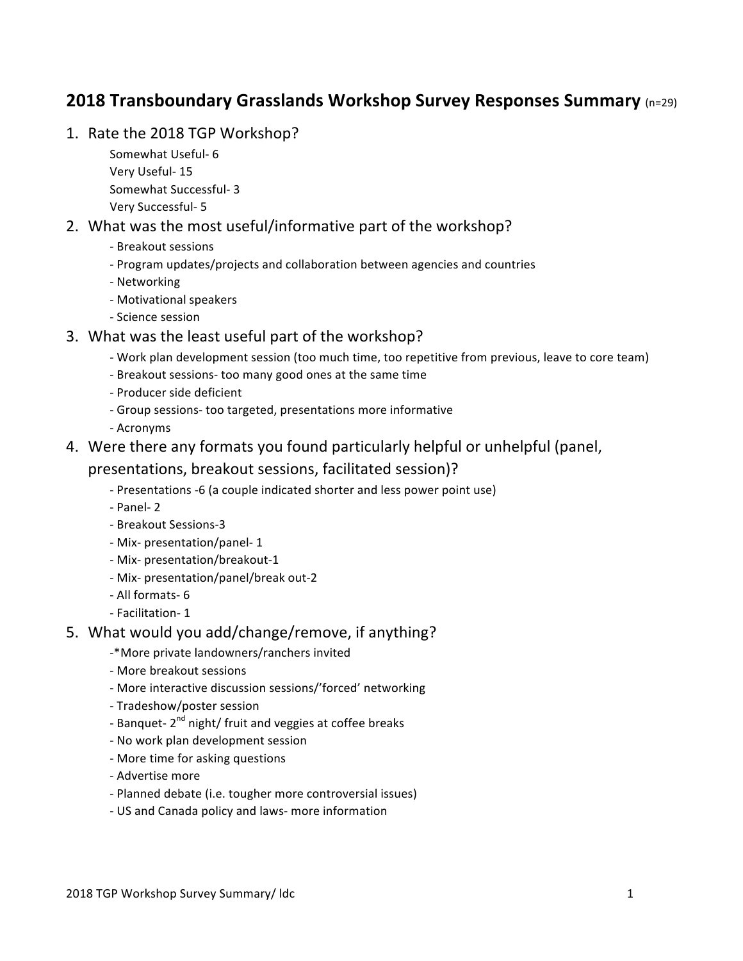# **2018 Transboundary Grasslands Workshop Survey Responses Summary** (n=29)

- 1. Rate the 2018 TGP Workshop?
	- Somewhat Useful- 6 Very Useful- 15 Somewhat Successful- 3 Very Successful- 5

### 2. What was the most useful/informative part of the workshop?

- Breakout sessions
- Program updates/projects and collaboration between agencies and countries
- Networking
- Motivational speakers
- Science session

#### 3. What was the least useful part of the workshop?

- Work plan development session (too much time, too repetitive from previous, leave to core team)
- Breakout sessions- too many good ones at the same time
- Producer side deficient
- Group sessions- too targeted, presentations more informative
- Acronyms
- 4. Were there any formats you found particularly helpful or unhelpful (panel,

#### presentations, breakout sessions, facilitated session)?

- Presentations -6 (a couple indicated shorter and less power point use)
- Panel- 2
- Breakout Sessions-3
- Mix- presentation/panel- 1
- Mix- presentation/breakout-1
- Mix- presentation/panel/break out-2
- All formats- 6
- Facilitation- 1

#### 5. What would you add/change/remove, if anything?

- -\*More private landowners/ranchers invited
- More breakout sessions
- More interactive discussion sessions/'forced' networking
- Tradeshow/poster session
- Banquet-  $2<sup>nd</sup>$  night/ fruit and veggies at coffee breaks
- No work plan development session
- More time for asking questions
- Advertise more
- Planned debate (i.e. tougher more controversial issues)
- US and Canada policy and laws- more information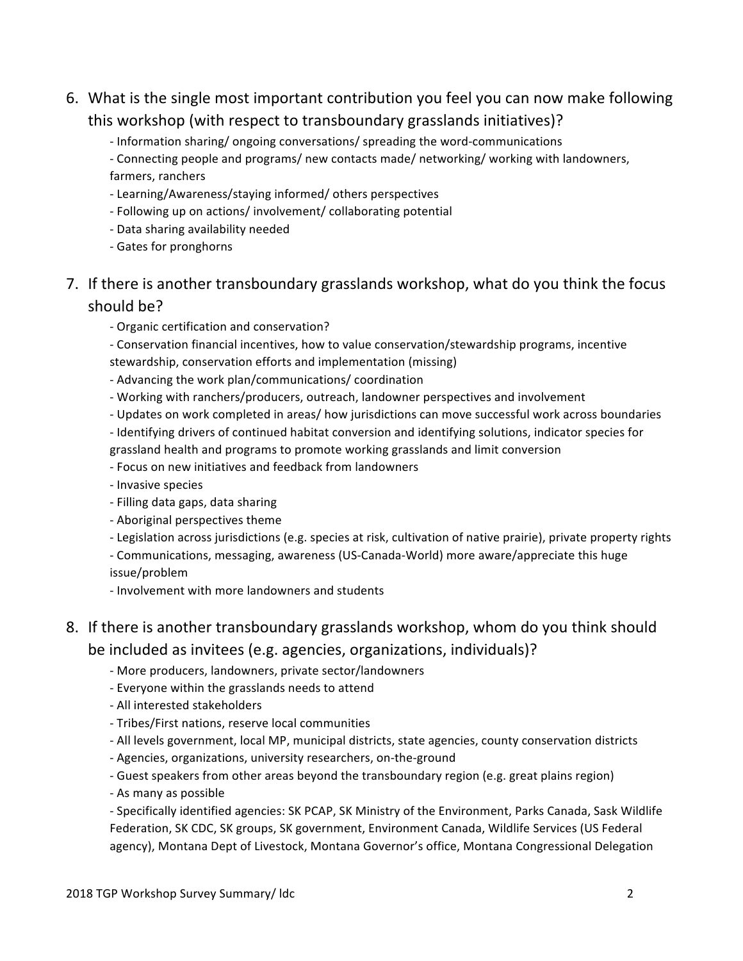- 6. What is the single most important contribution you feel you can now make following this workshop (with respect to transboundary grasslands initiatives)?
	- Information sharing/ ongoing conversations/ spreading the word-communications

- Connecting people and programs/ new contacts made/ networking/ working with landowners, farmers, ranchers

- Learning/Awareness/staying informed/ others perspectives
- Following up on actions/ involvement/ collaborating potential
- Data sharing availability needed
- Gates for pronghorns

# 7. If there is another transboundary grasslands workshop, what do you think the focus should be?

- Organic certification and conservation?

- Conservation financial incentives, how to value conservation/stewardship programs, incentive stewardship, conservation efforts and implementation (missing)

- Advancing the work plan/communications/ coordination
- Working with ranchers/producers, outreach, landowner perspectives and involvement
- Updates on work completed in areas/ how jurisdictions can move successful work across boundaries
- Identifying drivers of continued habitat conversion and identifying solutions, indicator species for grassland health and programs to promote working grasslands and limit conversion
- Focus on new initiatives and feedback from landowners
- Invasive species
- Filling data gaps, data sharing
- Aboriginal perspectives theme
- Legislation across jurisdictions (e.g. species at risk, cultivation of native prairie), private property rights
- Communications, messaging, awareness (US-Canada-World) more aware/appreciate this huge issue/problem
- Involvement with more landowners and students

# 8. If there is another transboundary grasslands workshop, whom do you think should be included as invitees (e.g. agencies, organizations, individuals)?

- More producers, landowners, private sector/landowners
- Everyone within the grasslands needs to attend
- All interested stakeholders
- Tribes/First nations, reserve local communities
- All levels government, local MP, municipal districts, state agencies, county conservation districts
- Agencies, organizations, university researchers, on-the-ground
- Guest speakers from other areas beyond the transboundary region (e.g. great plains region)
- As many as possible

- Specifically identified agencies: SK PCAP, SK Ministry of the Environment, Parks Canada, Sask Wildlife Federation, SK CDC, SK groups, SK government, Environment Canada, Wildlife Services (US Federal agency), Montana Dept of Livestock, Montana Governor's office, Montana Congressional Delegation